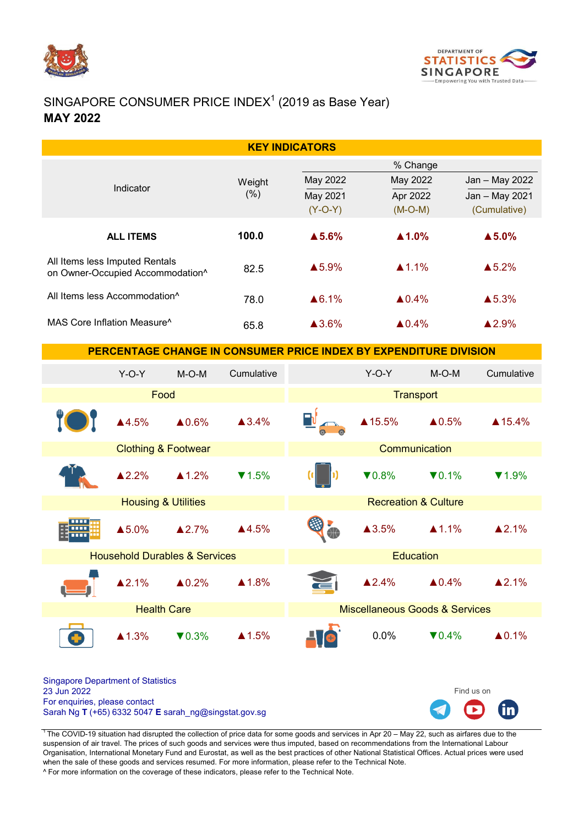



# SINGAPORE CONSUMER PRICE INDEX $1$  (2019 as Base Year) MAY 2022

| <b>KEY INDICATORS</b>                                                                                                                              |                                |                   |                   |                                           |                                               |                   |                                                  |  |  |
|----------------------------------------------------------------------------------------------------------------------------------------------------|--------------------------------|-------------------|-------------------|-------------------------------------------|-----------------------------------------------|-------------------|--------------------------------------------------|--|--|
| Indicator                                                                                                                                          |                                |                   | Weight<br>(% )    | May 2022<br>May 2021<br>$(Y-O-Y)$         | % Change<br>May 2022<br>Apr 2022<br>$(M-O-M)$ |                   | Jan - May 2022<br>Jan - May 2021<br>(Cumulative) |  |  |
| <b>ALL ITEMS</b>                                                                                                                                   |                                |                   | 100.0             | $\blacktriangle$ 5.6%                     | $\blacktriangle$ 1.0%                         |                   | $\triangle$ 5.0%                                 |  |  |
| All Items less Imputed Rentals<br>on Owner-Occupied Accommodation^                                                                                 |                                |                   | 82.5              | ▲5.9%                                     | $\triangle$ 1.1%                              |                   | $\triangle$ 5.2%                                 |  |  |
| All Items less Accommodation <sup>^</sup>                                                                                                          |                                |                   | 78.0              | ▲6.1%                                     | $\triangle 0.4\%$                             |                   | ▲5.3%                                            |  |  |
| MAS Core Inflation Measure <sup>^</sup>                                                                                                            |                                |                   | 65.8              | ▲3.6%                                     | $\triangle 0.4\%$                             |                   | ▲2.9%                                            |  |  |
| PERCENTAGE CHANGE IN CONSUMER PRICE INDEX BY EXPENDITURE DIVISION                                                                                  |                                |                   |                   |                                           |                                               |                   |                                                  |  |  |
|                                                                                                                                                    | $Y-O-Y$                        | $M-O-M$           | Cumulative        |                                           | $Y-O-Y$                                       | $M-O-M$           | Cumulative                                       |  |  |
| Food                                                                                                                                               |                                |                   |                   | <b>Transport</b>                          |                                               |                   |                                                  |  |  |
|                                                                                                                                                    | ▲4.5%                          | $\triangle 0.6\%$ | $\triangle 3.4\%$ |                                           | ▲15.5%                                        | $\triangle 0.5\%$ | ▲ 15.4%                                          |  |  |
|                                                                                                                                                    | <b>Clothing &amp; Footwear</b> |                   |                   | Communication                             |                                               |                   |                                                  |  |  |
|                                                                                                                                                    | ▲2.2%                          | $\triangle$ 1.2%  | $\P$ 1.5%         |                                           | $\nabla 0.8\%$                                | $\nabla 0.1\%$    | $\P$ 1.9%                                        |  |  |
|                                                                                                                                                    | <b>Housing &amp; Utilities</b> |                   |                   |                                           | <b>Recreation &amp; Culture</b>               |                   |                                                  |  |  |
|                                                                                                                                                    | ▲5.0%                          | $\triangle 2.7\%$ | ▲4.5%             |                                           | $\triangle 3.5\%$                             | $\triangle$ 1.1%  | ▲2.1%                                            |  |  |
| <b>Household Durables &amp; Services</b>                                                                                                           |                                |                   |                   |                                           | <b>Education</b>                              |                   |                                                  |  |  |
|                                                                                                                                                    | $\triangle 2.1%$               | $\triangle 0.2\%$ | $\triangle 1.8\%$ | $\epsilon$                                | $\triangle 2.4\%$                             | $\triangle 0.4\%$ | $\triangle 2.1%$                                 |  |  |
| <b>Health Care</b>                                                                                                                                 |                                |                   |                   | <b>Miscellaneous Goods &amp; Services</b> |                                               |                   |                                                  |  |  |
|                                                                                                                                                    | $\triangle 1.3\%$              | $\nabla 0.3\%$    | $\triangle$ 1.5%  |                                           | 0.0%                                          | $\nabla 0.4\%$    | $\triangle 0.1\%$                                |  |  |
| <b>Singapore Department of Statistics</b><br>23 Jun 2022<br>For enquiries, please contact<br>Sarah Ng T (+65) 6332 5047 E sarah_ng@singstat.gov.sg |                                |                   |                   |                                           |                                               |                   | Find us on<br><b>GD</b><br>$\Gamma$              |  |  |

<sup>1</sup>The COVID-19 situation had disrupted the collection of price data for some goods and services in Apr 20 – May 22, such as airfares due to the suspension of air travel. The prices of such goods and services were thus imputed, based on recommendations from the International Labour Organisation, International Monetary Fund and Eurostat, as well as the best practices of other National Statistical Offices. Actual prices were used when the sale of these goods and services resumed. For more information, please refer to the Technical Note.

^ For more information on the coverage of these indicators, please refer to the Technical Note.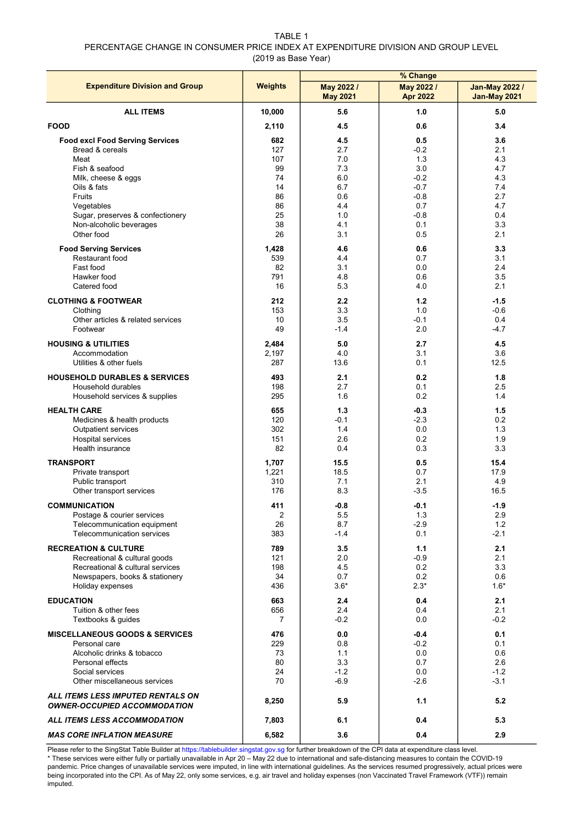TABLE 1 PERCENTAGE CHANGE IN CONSUMER PRICE INDEX AT EXPENDITURE DIVISION AND GROUP LEVEL (2019 as Base Year)

|                                                                          |                | % Change                      |                               |                                              |  |  |
|--------------------------------------------------------------------------|----------------|-------------------------------|-------------------------------|----------------------------------------------|--|--|
| <b>Expenditure Division and Group</b>                                    | <b>Weights</b> | May 2022 /<br><b>May 2021</b> | May 2022 /<br><b>Apr 2022</b> | <b>Jan-May 2022 /</b><br><b>Jan-May 2021</b> |  |  |
| <b>ALL ITEMS</b>                                                         | 10,000         | 5.6                           | 1.0                           | 5.0                                          |  |  |
| <b>FOOD</b>                                                              | 2,110          | 4.5                           | 0.6                           | 3.4                                          |  |  |
| <b>Food excl Food Serving Services</b>                                   | 682            | 4.5                           | 0.5                           | 3.6                                          |  |  |
| Bread & cereals                                                          | 127            | 2.7                           | $-0.2$                        | 2.1                                          |  |  |
| Meat                                                                     | 107            | 7.0                           | 1.3                           | 4.3                                          |  |  |
| Fish & seafood                                                           | 99             | 7.3                           | 3.0                           | 4.7                                          |  |  |
| Milk, cheese & eggs                                                      | 74             | 6.0                           | $-0.2$                        | 4.3                                          |  |  |
| Oils & fats                                                              | 14             | 6.7                           | $-0.7$                        | 7.4                                          |  |  |
| Fruits                                                                   | 86             | 0.6                           | $-0.8$                        | 2.7                                          |  |  |
| Vegetables                                                               | 86             | 4.4                           | 0.7                           | 4.7                                          |  |  |
| Sugar, preserves & confectionery                                         | 25             | 1.0                           | $-0.8$                        | 0.4                                          |  |  |
| Non-alcoholic beverages                                                  | 38             | 4.1                           | 0.1                           | 3.3                                          |  |  |
| Other food                                                               | 26             | 3.1                           | 0.5                           | 2.1                                          |  |  |
| <b>Food Serving Services</b>                                             | 1,428          | 4.6                           | 0.6                           | 3.3                                          |  |  |
| Restaurant food                                                          | 539            | 4.4                           | 0.7                           | 3.1                                          |  |  |
| Fast food                                                                | 82             | 3.1                           | 0.0                           | 2.4                                          |  |  |
| Hawker food                                                              | 791            | 4.8                           | 0.6                           | 3.5                                          |  |  |
| Catered food                                                             | 16             | 5.3                           | 4.0                           | 2.1                                          |  |  |
| <b>CLOTHING &amp; FOOTWEAR</b>                                           | 212            | 2.2                           | 1.2                           | -1.5                                         |  |  |
| Clothing                                                                 | 153            | 3.3                           | 1.0                           | $-0.6$                                       |  |  |
| Other articles & related services                                        | 10             | 3.5                           | $-0.1$                        | 0.4                                          |  |  |
| Footwear                                                                 | 49             | $-1.4$                        | 2.0                           | $-4.7$                                       |  |  |
| <b>HOUSING &amp; UTILITIES</b>                                           | 2,484          | 5.0                           | 2.7                           | 4.5                                          |  |  |
| Accommodation                                                            | 2,197          | 4.0                           | 3.1                           | 3.6                                          |  |  |
| Utilities & other fuels                                                  | 287            | 13.6                          | 0.1                           | 12.5                                         |  |  |
| <b>HOUSEHOLD DURABLES &amp; SERVICES</b>                                 | 493            | 2.1                           | 0.2                           | 1.8                                          |  |  |
| Household durables                                                       | 198            | 2.7                           | 0.1                           | 2.5                                          |  |  |
| Household services & supplies                                            | 295            | 1.6                           | 0.2                           | 1.4                                          |  |  |
| <b>HEALTH CARE</b>                                                       | 655            | 1.3                           | $-0.3$                        | 1.5                                          |  |  |
| Medicines & health products                                              | 120            | $-0.1$                        | $-2.3$                        | 0.2                                          |  |  |
| <b>Outpatient services</b>                                               | 302            | 1.4                           | 0.0                           | 1.3                                          |  |  |
| <b>Hospital services</b>                                                 | 151            | 2.6                           | 0.2                           | 1.9                                          |  |  |
| Health insurance                                                         | 82             | 0.4                           | 0.3                           | 3.3                                          |  |  |
| <b>TRANSPORT</b>                                                         | 1,707          | 15.5                          | 0.5                           | 15.4                                         |  |  |
| Private transport                                                        | 1,221          | 18.5                          | 0.7                           | 17.9                                         |  |  |
| Public transport                                                         | 310            | 7.1                           | 2.1                           | 4.9                                          |  |  |
| Other transport services                                                 | 176            | 8.3                           | $-3.5$                        | 16.5                                         |  |  |
| <b>COMMUNICATION</b>                                                     | 411            | $-0.8$                        | $-0.1$                        | $-1.9$                                       |  |  |
| Postage & courier services                                               | $\overline{2}$ | 5.5                           | 1.3                           | 2.9                                          |  |  |
| Telecommunication equipment                                              | 26             | 8.7                           | $-2.9$                        | 1.2                                          |  |  |
| <b>Telecommunication services</b>                                        | 383            | $-1.4$                        | 0.1                           | -2.1                                         |  |  |
| <b>RECREATION &amp; CULTURE</b>                                          | 789            | 3.5                           | 1.1                           | 2.1                                          |  |  |
| Recreational & cultural goods                                            | 121            | 2.0                           | $-0.9$                        | 2.1                                          |  |  |
| Recreational & cultural services                                         | 198            | 4.5                           | 0.2                           | 3.3                                          |  |  |
| Newspapers, books & stationery                                           | 34             | 0.7                           | 0.2                           | 0.6                                          |  |  |
| Holiday expenses                                                         | 436            | $3.6*$                        | $2.3*$                        | $1.6*$                                       |  |  |
| <b>EDUCATION</b>                                                         | 663            | 2.4                           | 0.4                           | 2.1                                          |  |  |
| Tuition & other fees                                                     | 656            | 2.4                           | 0.4                           | 2.1                                          |  |  |
| Textbooks & quides                                                       | $\overline{7}$ | $-0.2$                        | 0.0                           | $-0.2$                                       |  |  |
| <b>MISCELLANEOUS GOODS &amp; SERVICES</b>                                | 476            | 0.0                           | $-0.4$                        | 0.1                                          |  |  |
| Personal care                                                            | 229            | 0.8                           | $-0.2$                        | 0.1                                          |  |  |
| Alcoholic drinks & tobacco                                               | 73             | 1.1                           | 0.0                           | 0.6                                          |  |  |
| Personal effects                                                         | 80             | 3.3                           | 0.7                           | 2.6                                          |  |  |
| Social services                                                          | 24             | $-1.2$                        | 0.0                           | $-1.2$                                       |  |  |
| Other miscellaneous services                                             | 70             | $-6.9$                        | $-2.6$                        | $-3.1$                                       |  |  |
| ALL ITEMS LESS IMPUTED RENTALS ON<br><b>OWNER-OCCUPIED ACCOMMODATION</b> | 8,250          | 5.9                           | 1.1                           | 5.2                                          |  |  |
| ALL ITEMS LESS ACCOMMODATION                                             | 7,803          | 6.1                           | 0.4                           | 5.3                                          |  |  |
| <b>MAS CORE INFLATION MEASURE</b>                                        | 6,582          | 3.6                           | 0.4                           | 2.9                                          |  |  |

Please refer to the SingStat Table Builder at https://tablebuilder.singstat.gov.sg for further breakdown of the CPI data at expenditure class level. \* These services were either fully or partially unavailable in Apr 20 – May 22 due to international and safe-distancing measures to contain the COVID-19 pandemic. Price changes of unavailable services were imputed, in line with international guidelines. As the services resumed progressively, actual prices were being incorporated into the CPI. As of May 22, only some services, e.g. air travel and holiday expenses (non Vaccinated Travel Framework (VTF)) remain imputed.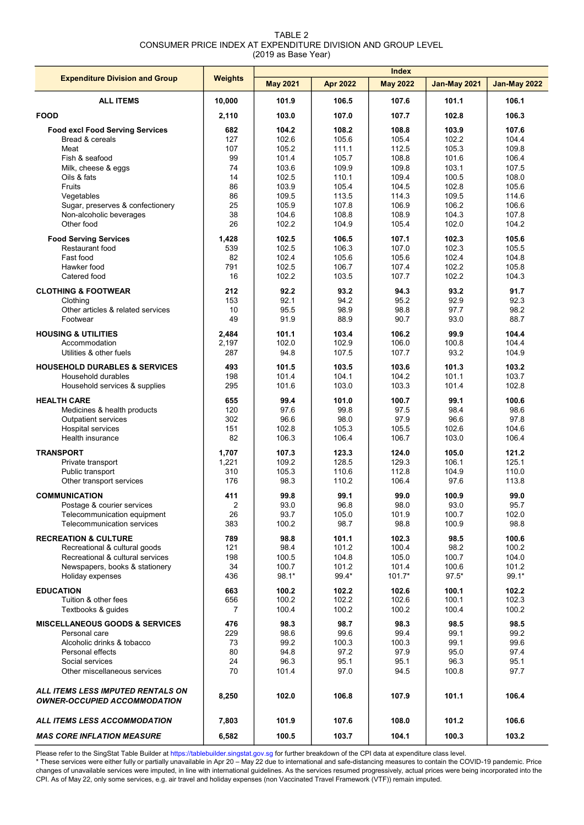| TARI F 2                                                     |
|--------------------------------------------------------------|
| CONSUMER PRICE INDEX AT EXPENDITURE DIVISION AND GROUP LEVEL |
| (2019 as Base Year)                                          |

|                                                                          |                | <b>Index</b>    |                 |                 |                     |                     |  |
|--------------------------------------------------------------------------|----------------|-----------------|-----------------|-----------------|---------------------|---------------------|--|
| <b>Expenditure Division and Group</b>                                    | <b>Weights</b> | <b>May 2021</b> | <b>Apr 2022</b> | <b>May 2022</b> | <b>Jan-May 2021</b> | <b>Jan-May 2022</b> |  |
| <b>ALL ITEMS</b>                                                         | 10,000         | 101.9           | 106.5           | 107.6           | 101.1               | 106.1               |  |
| <b>FOOD</b>                                                              | 2,110          | 103.0           | 107.0           | 107.7           | 102.8               | 106.3               |  |
| <b>Food excl Food Serving Services</b>                                   | 682            | 104.2           | 108.2           | 108.8           | 103.9               | 107.6               |  |
| Bread & cereals                                                          | 127            | 102.6           | 105.6           | 105.4           | 102.2               | 104.4               |  |
| Meat                                                                     | 107            | 105.2           | 111.1           | 112.5           | 105.3               | 109.8               |  |
| Fish & seafood                                                           | 99             | 101.4           | 105.7           | 108.8           | 101.6               | 106.4               |  |
| Milk, cheese & eggs                                                      | 74             | 103.6           | 109.9           | 109.8           | 103.1               | 107.5               |  |
| Oils & fats                                                              | 14             | 102.5           | 110.1           | 109.4           | 100.5               | 108.0               |  |
| Fruits                                                                   | 86             | 103.9           | 105.4           | 104.5           | 102.8               | 105.6               |  |
| Vegetables                                                               | 86             | 109.5           | 113.5           | 114.3           | 109.5               | 114.6               |  |
| Sugar, preserves & confectionery                                         | 25             | 105.9           | 107.8           | 106.9           | 106.2               | 106.6               |  |
| Non-alcoholic beverages                                                  | 38             | 104.6           | 108.8           | 108.9           | 104.3               | 107.8               |  |
| Other food                                                               | 26             | 102.2           | 104.9           | 105.4           | 102.0               | 104.2               |  |
| <b>Food Serving Services</b>                                             | 1,428          | 102.5           | 106.5           | 107.1           | 102.3               | 105.6               |  |
| Restaurant food                                                          | 539            | 102.5           | 106.3           | 107.0           | 102.3               | 105.5               |  |
| Fast food                                                                | 82             | 102.4           | 105.6           | 105.6           | 102.4               | 104.8               |  |
| Hawker food                                                              | 791            | 102.5           | 106.7           | 107.4           | 102.2               | 105.8               |  |
| Catered food                                                             | 16             | 102.2           | 103.5           | 107.7           | 102.2               | 104.3               |  |
| <b>CLOTHING &amp; FOOTWEAR</b>                                           | 212            | 92.2            | 93.2            | 94.3            | 93.2                | 91.7                |  |
| Clothing                                                                 | 153            | 92.1            | 94.2            | 95.2            | 92.9                | 92.3                |  |
| Other articles & related services                                        | 10             | 95.5            | 98.9            | 98.8            | 97.7                | 98.2                |  |
| Footwear                                                                 | 49             | 91.9            | 88.9            | 90.7            | 93.0                | 88.7                |  |
| <b>HOUSING &amp; UTILITIES</b>                                           | 2,484          | 101.1           | 103.4           | 106.2           | 99.9                | 104.4               |  |
| Accommodation                                                            | 2,197          | 102.0           | 102.9           | 106.0           | 100.8               | 104.4               |  |
| Utilities & other fuels                                                  | 287            | 94.8            | 107.5           | 107.7           | 93.2                | 104.9               |  |
| <b>HOUSEHOLD DURABLES &amp; SERVICES</b>                                 | 493            | 101.5           | 103.5           | 103.6           | 101.3               | 103.2               |  |
| Household durables                                                       | 198            | 101.4           | 104.1           | 104.2           | 101.1               | 103.7               |  |
| Household services & supplies                                            | 295            | 101.6           | 103.0           | 103.3           | 101.4               | 102.8               |  |
| <b>HEALTH CARE</b>                                                       | 655            | 99.4            | 101.0           | 100.7           | 99.1                | 100.6               |  |
| Medicines & health products                                              | 120            | 97.6            | 99.8            | 97.5            | 98.4                | 98.6                |  |
| Outpatient services                                                      | 302            | 96.6            | 98.0            | 97.9            | 96.6                | 97.8                |  |
| <b>Hospital services</b>                                                 | 151            | 102.8           | 105.3           | 105.5           | 102.6               | 104.6               |  |
| Health insurance                                                         | 82             | 106.3           | 106.4           | 106.7           | 103.0               | 106.4               |  |
| <b>TRANSPORT</b>                                                         | 1,707          | 107.3           | 123.3           | 124.0           | 105.0               | 121.2               |  |
| Private transport                                                        | 1,221          | 109.2           | 128.5           | 129.3           | 106.1               | 125.1               |  |
| Public transport                                                         | 310            | 105.3           | 110.6           | 112.8           | 104.9               | 110.0               |  |
| Other transport services                                                 | 176            | 98.3            | 110.2           | 106.4           | 97.6                | 113.8               |  |
| <b>COMMUNICATION</b>                                                     | 411            | 99.8            | 99.1            | 99.0            | 100.9               | 99.0                |  |
| Postage & courier services                                               | 2              | 93.0            | 96.8            | 98.0            | 93.0                | 95.7                |  |
| Telecommunication equipment                                              | 26             | 93.7            | 105.0           | 101.9           | 100.7               | 102.0               |  |
| Telecommunication services                                               | 383            | 100.2           | 98.7            | 98.8            | 100.9               | 98.8                |  |
| <b>RECREATION &amp; CULTURE</b>                                          | 789            | 98.8            | 101.1           | 102.3           | 98.5                | 100.6               |  |
| Recreational & cultural goods                                            | 121            | 98.4            | 101.2           | 100.4           | 98.2                | 100.2               |  |
| Recreational & cultural services                                         | 198            | 100.5           | 104.8           | 105.0           | 100.7               | 104.0               |  |
| Newspapers, books & stationery                                           | 34             | 100.7           | 101.2           | 101.4           | 100.6               | 101.2               |  |
| Holiday expenses                                                         | 436            | $98.1*$         | 99.4*           | $101.7*$        | $97.5*$             | 99.1*               |  |
| <b>EDUCATION</b>                                                         | 663            | 100.2           | 102.2           | 102.6           | 100.1               | 102.2               |  |
| Tuition & other fees                                                     | 656            | 100.2           | 102.2           | 102.6           | 100.1               | 102.3               |  |
| Textbooks & quides                                                       | $\overline{7}$ | 100.4           | 100.2           | 100.2           | 100.4               | 100.2               |  |
| <b>MISCELLANEOUS GOODS &amp; SERVICES</b>                                | 476            | 98.3            | 98.7            | 98.3            | 98.5                | 98.5                |  |
| Personal care                                                            | 229            | 98.6            | 99.6            | 99.4            | 99.1                | 99.2                |  |
| Alcoholic drinks & tobacco                                               | 73             | 99.2            | 100.3           | 100.3           | 99.1                | 99.6                |  |
| Personal effects                                                         | 80             | 94.8            | 97.2            | 97.9            | 95.0                | 97.4                |  |
| Social services                                                          | 24             | 96.3            | 95.1            | 95.1            | 96.3                | 95.1                |  |
| Other miscellaneous services                                             | 70             | 101.4           | 97.0            | 94.5            | 100.8               | 97.7                |  |
| ALL ITEMS LESS IMPUTED RENTALS ON<br><b>OWNER-OCCUPIED ACCOMMODATION</b> | 8,250          | 102.0           | 106.8           | 107.9           | 101.1               | 106.4               |  |
| ALL ITEMS LESS ACCOMMODATION                                             | 7,803          | 101.9           | 107.6           | 108.0           | 101.2               | 106.6               |  |
| <b>MAS CORE INFLATION MEASURE</b>                                        | 6,582          | 100.5           | 103.7           | 104.1           | 100.3               | 103.2               |  |

Please refer to the SingStat Table Builder at https://tablebuilder.singstat.gov.sg for further breakdown of the CPI data at expenditure class level.

\* These services were either fully or partially unavailable in Apr 20 – May 22 due to international and safe-distancing measures to contain the COVID-19 pandemic. Price changes of unavailable services were imputed, in line with international guidelines. As the services resumed progressively, actual prices were being incorporated into the CPI. As of May 22, only some services, e.g. air travel and holiday expenses (non Vaccinated Travel Framework (VTF)) remain imputed.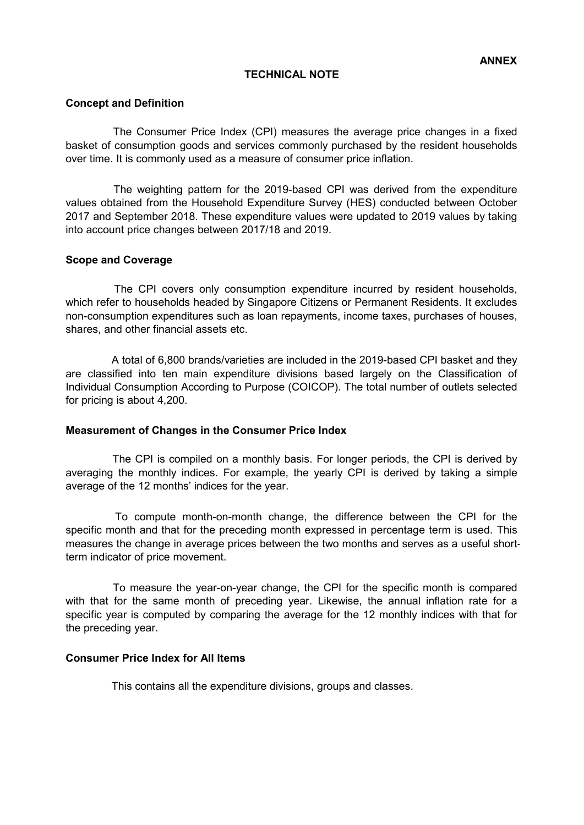# TECHNICAL NOTE

#### Concept and Definition

The Consumer Price Index (CPI) measures the average price changes in a fixed basket of consumption goods and services commonly purchased by the resident households over time. It is commonly used as a measure of consumer price inflation.

The weighting pattern for the 2019-based CPI was derived from the expenditure values obtained from the Household Expenditure Survey (HES) conducted between October 2017 and September 2018. These expenditure values were updated to 2019 values by taking into account price changes between 2017/18 and 2019.

# Scope and Coverage

The CPI covers only consumption expenditure incurred by resident households, which refer to households headed by Singapore Citizens or Permanent Residents. It excludes non-consumption expenditures such as loan repayments, income taxes, purchases of houses, shares, and other financial assets etc.

A total of 6,800 brands/varieties are included in the 2019-based CPI basket and they are classified into ten main expenditure divisions based largely on the Classification of Individual Consumption According to Purpose (COICOP). The total number of outlets selected for pricing is about 4,200.

#### Measurement of Changes in the Consumer Price Index

The CPI is compiled on a monthly basis. For longer periods, the CPI is derived by averaging the monthly indices. For example, the yearly CPI is derived by taking a simple average of the 12 months' indices for the year.

To compute month-on-month change, the difference between the CPI for the specific month and that for the preceding month expressed in percentage term is used. This measures the change in average prices between the two months and serves as a useful shortterm indicator of price movement.

To measure the year-on-year change, the CPI for the specific month is compared with that for the same month of preceding year. Likewise, the annual inflation rate for a specific year is computed by comparing the average for the 12 monthly indices with that for the preceding year.

#### Consumer Price Index for All Items

This contains all the expenditure divisions, groups and classes.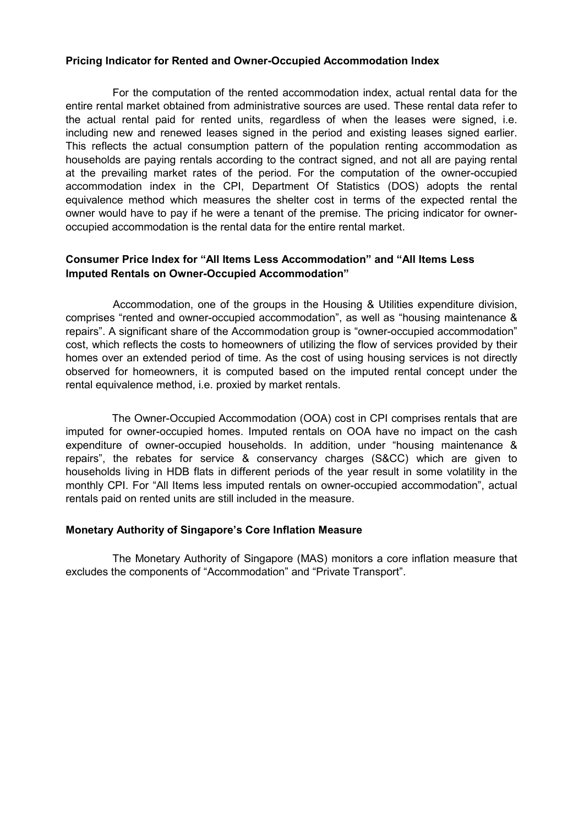# Pricing Indicator for Rented and Owner-Occupied Accommodation Index

For the computation of the rented accommodation index, actual rental data for the entire rental market obtained from administrative sources are used. These rental data refer to the actual rental paid for rented units, regardless of when the leases were signed, i.e. including new and renewed leases signed in the period and existing leases signed earlier. This reflects the actual consumption pattern of the population renting accommodation as households are paying rentals according to the contract signed, and not all are paying rental at the prevailing market rates of the period. For the computation of the owner-occupied accommodation index in the CPI, Department Of Statistics (DOS) adopts the rental equivalence method which measures the shelter cost in terms of the expected rental the owner would have to pay if he were a tenant of the premise. The pricing indicator for owneroccupied accommodation is the rental data for the entire rental market.

# Consumer Price Index for "All Items Less Accommodation" and "All Items Less Imputed Rentals on Owner-Occupied Accommodation"

Accommodation, one of the groups in the Housing & Utilities expenditure division, comprises "rented and owner-occupied accommodation", as well as "housing maintenance & repairs". A significant share of the Accommodation group is "owner-occupied accommodation" cost, which reflects the costs to homeowners of utilizing the flow of services provided by their homes over an extended period of time. As the cost of using housing services is not directly observed for homeowners, it is computed based on the imputed rental concept under the rental equivalence method, i.e. proxied by market rentals.

The Owner-Occupied Accommodation (OOA) cost in CPI comprises rentals that are imputed for owner-occupied homes. Imputed rentals on OOA have no impact on the cash expenditure of owner-occupied households. In addition, under "housing maintenance & repairs", the rebates for service & conservancy charges (S&CC) which are given to households living in HDB flats in different periods of the year result in some volatility in the monthly CPI. For "All Items less imputed rentals on owner-occupied accommodation", actual rentals paid on rented units are still included in the measure.

# Monetary Authority of Singapore's Core Inflation Measure

The Monetary Authority of Singapore (MAS) monitors a core inflation measure that excludes the components of "Accommodation" and "Private Transport".